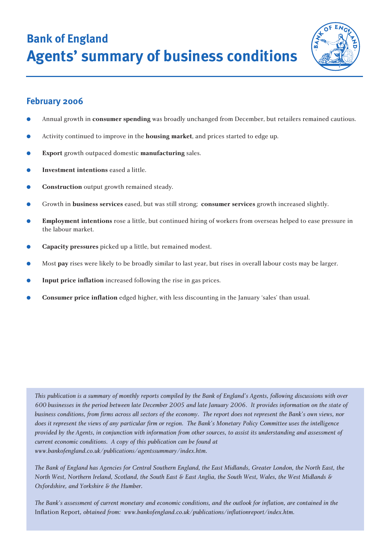**Bank of England Agents' summary of business conditions**



# **February 2006**

- Annual growth in **consumer spending** was broadly unchanged from December, but retailers remained cautious.
- Activity continued to improve in the **housing market**, and prices started to edge up.
- **Export** growth outpaced domestic **manufacturing** sales.
- **Investment intentions** eased a little.
- **Construction** output growth remained steady.
- Growth in **business services** eased, but was still strong; **consumer services** growth increased slightly.
- **Employment intentions** rose a little, but continued hiring of workers from overseas helped to ease pressure in the labour market.
- **Capacity pressures** picked up a little, but remained modest.
- Most **pay** rises were likely to be broadly similar to last year, but rises in overall labour costs may be larger.
- **Input price inflation** increased following the rise in gas prices.
- **Consumer price inflation** edged higher, with less discounting in the January 'sales' than usual.

*This publication is a summary of monthly reports compiled by the Bank of England's Agents, following discussions with over 600 businesses in the period between late December 2005 and late January 2006. It provides information on the state of business conditions, from firms across all sectors of the economy. The report does not represent the Bank's own views, nor does it represent the views of any particular firm or region. The Bank's Monetary Policy Committee uses the intelligence provided by the Agents, in conjunction with information from other sources, to assist its understanding and assessment of current economic conditions. A copy of this publication can be found at www.bankofengland.co.uk/publications/agentssummary/index.htm.*

*The Bank of England has Agencies for Central Southern England, the East Midlands, Greater London, the North East, the North West, Northern Ireland, Scotland, the South East & East Anglia, the South West, Wales, the West Midlands & Oxfordshire, and Yorkshire & the Humber.*

*The Bank's assessment of current monetary and economic conditions, and the outlook for inflation, are contained in the* Inflation Report*, obtained from: www.bankofengland.co.uk/publications/inflationreport/index.htm.*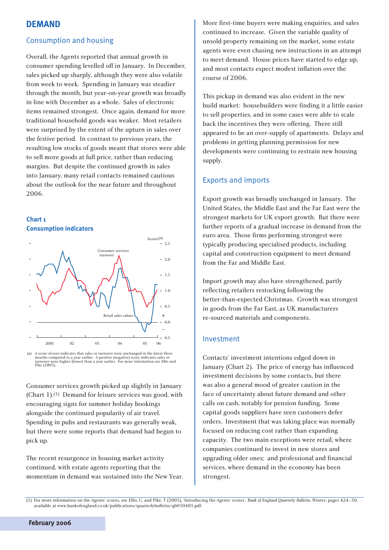# **DEMAND**

#### Consumption and housing

Overall, the Agents reported that annual growth in consumer spending levelled off in January. In December, sales picked up sharply, although they were also volatile from week to week. Spending in January was steadier through the month, but year-on-year growth was broadly in line with December as a whole. Sales of electronic items remained strongest. Once again, demand for more traditional household goods was weaker. Most retailers were surprised by the extent of the upturn in sales over the festive period. In contrast to previous years, the resulting low stocks of goods meant that stores were able to sell more goods at full price, rather than reducing margins. But despite the continued growth in sales into January, many retail contacts remained cautious about the outlook for the near future and throughout 2006.





(a) A score of zero indicates that sales or turnover were unchanged in the latest three months compared to a year earlier. A positive (negative) score indicates sales or turnover were higher (lower) than a year earlier. Fo Pike (2005).

Consumer services growth picked up slightly in January (Chart 1).(1) Demand for leisure services was good, with encouraging signs for summer holiday bookings alongside the continued popularity of air travel. Spending in pubs and restaurants was generally weak, but there were some reports that demand had begun to pick up.

The recent resurgence in housing market activity continued, with estate agents reporting that the momentum in demand was sustained into the New Year. More first-time buyers were making enquiries, and sales continued to increase. Given the variable quality of unsold property remaining on the market, some estate agents were even chasing new instructions in an attempt to meet demand. House prices have started to edge up, and most contacts expect modest inflation over the course of 2006.

This pickup in demand was also evident in the new build market: housebuilders were finding it a little easier to sell properties, and in some cases were able to scale back the incentives they were offering. There still appeared to be an over-supply of apartments. Delays and problems in getting planning permission for new developments were continuing to restrain new housing supply.

### Exports and imports

Export growth was broadly unchanged in January. The United States, the Middle East and the Far East were the strongest markets for UK export growth. But there were further reports of a gradual increase in demand from the euro area. Those firms performing strongest were typically producing specialised products, including capital and construction equipment to meet demand from the Far and Middle East.

Import growth may also have strengthened, partly reflecting retailers restocking following the better-than-expected Christmas. Growth was strongest in goods from the Far East, as UK manufacturers re-sourced materials and components.

#### Investment

Contacts' investment intentions edged down in January (Chart 2). The price of energy has influenced investment decisions by some contacts, but there was also a general mood of greater caution in the face of uncertainty about future demand and other calls on cash, notably for pension funding. Some capital goods suppliers have seen customers defer orders. Investment that was taking place was normally focused on reducing cost rather than expanding capacity. The two main exceptions were retail, where companies continued to invest in new stores and upgrading older ones; and professional and financial services, where demand in the economy has been strongest.

**February 2006**

<sup>(1)</sup> For more information on the Agents' scores, see Ellis, C, and Pike, T (2005), 'Introducing the Agents' scores', *Bank of England Quarterly Bulletin*, Winter, pages 424–30, available at www.bankofengland.co.uk/publications/quarterlybulletin/qb050401.pdf.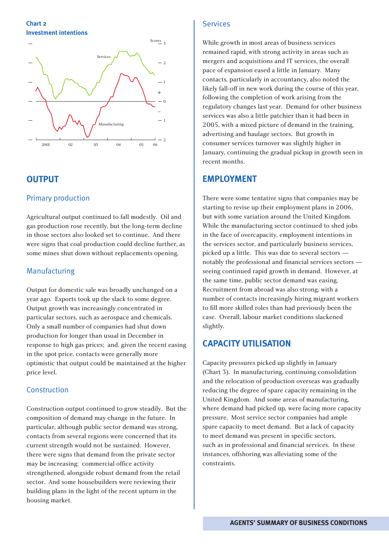#### **Chart 2 Investment intentions**



# **OUTPUT**

# Primary production

Agricultural output continued to fall modestly. Oil and gas production rose recently, but the long-term decline in those sectors also looked set to continue. And there were signs that coal production could decline further, as some mines shut down without replacements opening.

### Manufacturing

Output for domestic sale was broadly unchanged on a year ago. Exports took up the slack to some degree. Output growth was increasingly concentrated in particular sectors, such as aerospace and chemicals. Only a small number of companies had shut down production for longer than usual in December in response to high gas prices; and, given the recent easing in the spot price, contacts were generally more optimistic that output could be maintained at the higher price level.

### Construction

Construction output continued to grow steadily. But the composition of demand may change in the future. In particular, although public sector demand was strong, contacts from several regions were concerned that its current strength would not be sustained. However, there were signs that demand from the private sector may be increasing: commercial office activity strengthened, alongside robust demand from the retail sector. And some housebuilders were reviewing their building plans in the light of the recent upturn in the housing market.

### Services

While growth in most areas of business services remained rapid, with strong activity in areas such as mergers and acquisitions and IT services, the overall pace of expansion eased a little in January. Many contacts, particularly in accountancy, also noted the likely fall-off in new work during the course of this year, following the completion of work arising from the regulatory changes last year. Demand for other business services was also a little patchier than it had been in 2005, with a mixed picture of demand in the training, advertising and haulage sectors. But growth in consumer services turnover was slightly higher in January, continuing the gradual pickup in growth seen in recent months.

# **EMPLOYMENT**

There were some tentative signs that companies may be starting to revise up their employment plans in 2006, but with some variation around the United Kingdom. While the manufacturing sector continued to shed jobs in the face of overcapacity, employment intentions in the services sector, and particularly business services, picked up a little. This was due to several sectors notably the professional and financial services sectors seeing continued rapid growth in demand. However, at the same time, public sector demand was easing. Recruitment from abroad was also strong, with a number of contacts increasingly hiring migrant workers to fill more skilled roles than had previously been the case. Overall, labour market conditions slackened slightly.

# **CAPACITY UTILISATION**

Capacity pressures picked up slightly in January (Chart 3). In manufacturing, continuing consolidation and the relocation of production overseas was gradually reducing the degree of spare capacity remaining in the United Kingdom. And some areas of manufacturing, where demand had picked up, were facing more capacity pressure. Most service sector companies had ample spare capacity to meet demand. But a lack of capacity to meet demand was present in specific sectors, such as in professional and financial services. In these instances, offshoring was alleviating some of the constraints.